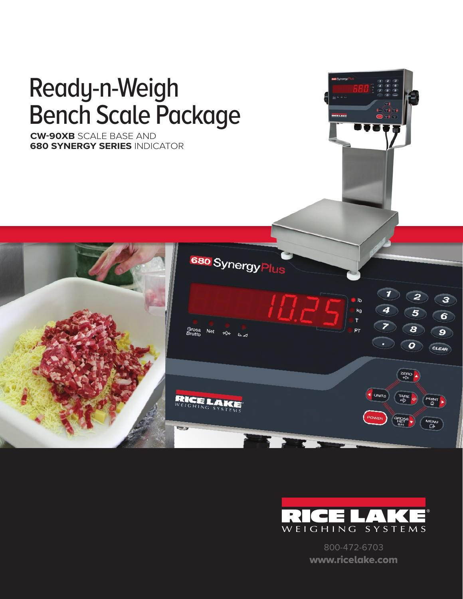



800-472-6703 www.ricelake.com